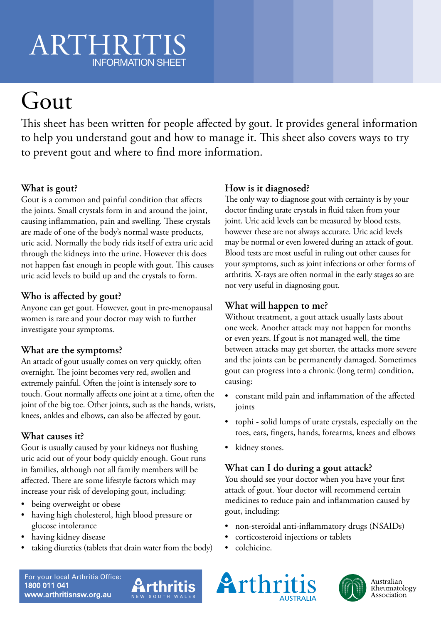# ARTHRIT INFORMATION SHEET

# Gout

This sheet has been written for people affected by gout. It provides general information to help you understand gout and how to manage it. This sheet also covers ways to try to prevent gout and where to find more information.

## **What is gout?**

Gout is a common and painful condition that affects the joints. Small crystals form in and around the joint, causing inflammation, pain and swelling. These crystals are made of one of the body's normal waste products, uric acid. Normally the body rids itself of extra uric acid through the kidneys into the urine. However this does not happen fast enough in people with gout. This causes uric acid levels to build up and the crystals to form.

### **Who is affected by gout?**

Anyone can get gout. However, gout in pre-menopausal women is rare and your doctor may wish to further investigate your symptoms.

### **What are the symptoms?**

An attack of gout usually comes on very quickly, often overnight. The joint becomes very red, swollen and extremely painful. Often the joint is intensely sore to touch. Gout normally affects one joint at a time, often the joint of the big toe. Other joints, such as the hands, wrists, knees, ankles and elbows, can also be affected by gout.

### **What causes it?**

Gout is usually caused by your kidneys not flushing uric acid out of your body quickly enough. Gout runs in families, although not all family members will be affected. There are some lifestyle factors which may increase your risk of developing gout, including:

- being overweight or obese
- having high cholesterol, high blood pressure or glucose intolerance
- having kidney disease
- taking diuretics (tablets that drain water from the body)

## **How is it diagnosed?**

The only way to diagnose gout with certainty is by your doctor finding urate crystals in fluid taken from your joint. Uric acid levels can be measured by blood tests, however these are not always accurate. Uric acid levels may be normal or even lowered during an attack of gout. Blood tests are most useful in ruling out other causes for your symptoms, such as joint infections or other forms of arthritis. X-rays are often normal in the early stages so are not very useful in diagnosing gout.

### **What will happen to me?**

Without treatment, a gout attack usually lasts about one week. Another attack may not happen for months or even years. If gout is not managed well, the time between attacks may get shorter, the attacks more severe and the joints can be permanently damaged. Sometimes gout can progress into a chronic (long term) condition, causing:

- constant mild pain and inflammation of the affected joints
- tophi solid lumps of urate crystals, especially on the toes, ears, fingers, hands, forearms, knees and elbows
- kidney stones.

### **What can I do during a gout attack?**

You should see your doctor when you have your first attack of gout. Your doctor will recommend certain medicines to reduce pain and inflammation caused by gout, including:

- non-steroidal anti-inflammatory drugs (NSAIDs)
- corticosteroid injections or tablets
- colchicine.

For your local Arthritis Office: 1800 011 041 www.arthritisnsw.org.au